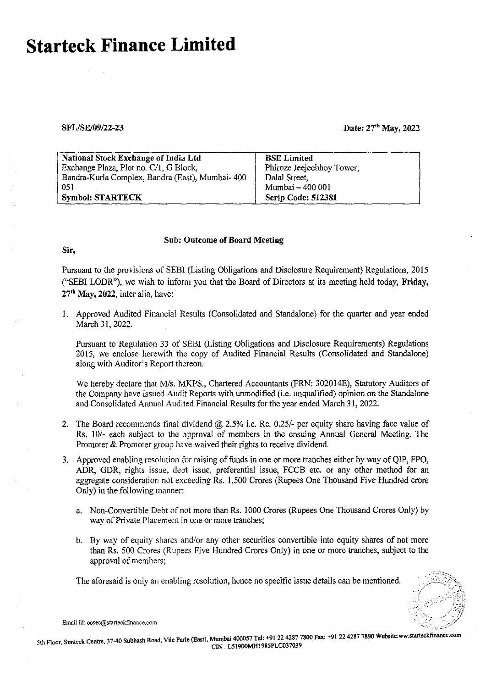# **Starteck Finance Limited**

# **SFL/SE/09/22-23 Date: 27th May, 2022**

| National Stock Exchange of India Ltd             | <b>BSE</b> Limited        |
|--------------------------------------------------|---------------------------|
| Exchange Plaza, Plot no. C/1, G Block,           | Phiroze Jeejeebhoy Tower, |
| Bandra-Kurla Complex, Bandra (East), Mumbai- 400 | Dalal Street,             |
| -051                                             | Mumbai - 400 001          |
| <b>Symbol: STARTECK</b>                          | Scrip Code: 512381        |

### **Snb: Outcome of Board Meeting**

**Sir,** 

Pursuant to the provisions of SEBI (Listing Obligations and Disclosure Requirement) Regulations, 2015 ("SEBI LODR"), we wish to infonn you that the Board of Directors at its meeting held today, **Friday, 27th May, 2022,** inter alia, have:

1. Approved Audited Financial Results (Consolidated and Standalone) for the quarter and year ended March 31, 2022.

Pursuant to Regulation 33 of SEBI (Listing Obligations and Disclosure Requirements) Regulations 2015, we enclose herewith the copy of Audited Financial Results (Consolidated and Standalone) along with Auditor's Report thereon.

We hereby declare that *Mis.* MKPS., Chartered Accountants (FRN: 302014E), Statutory Auditors of the Company have issued Audit Reports with unmodified (i.e. unqualified) opinion on the Standalone and Consolidated Annual Audited Financial Results for the year ended March 31, 2022.

- 2. The Board recommends final dividend @ 2.5% i.e. Re. 0.25/- per equity share having face value of Rs. 10/- each subject to the approval of members in the ensuing Annual General Meeting. The Promoter & Promoter group have waived their rights to receive dividend.
- 3. Approved enabling resolution for raising of funds in one or more tranches either by way ofQIP, FPO, ADR, GDR, rights issue, debt issue, preferential issue, FCCB etc. or any other method for an aggregate consideration not exceeding Rs. 1,500 Crores (Rupees One Thousand Five Hundred crore Only) in the following manner:
	- a. Non-Convertible Debt of not more than Rs. 1000 Crores (Rupees One Thousand Crores Only) by way of Private Placement in one or more tranches;
	- b. By way of equity shares and/or any other securities convertible into equity shares of not more than Rs. 500 Crores (Rupees Five Hundred Crores Only) in one or more tranches, subject to the approval of members;

The aforesaid is only an enabling resolution, hence no specific issue details can be mentioned.

Email Id: cosec@starteckfinance.com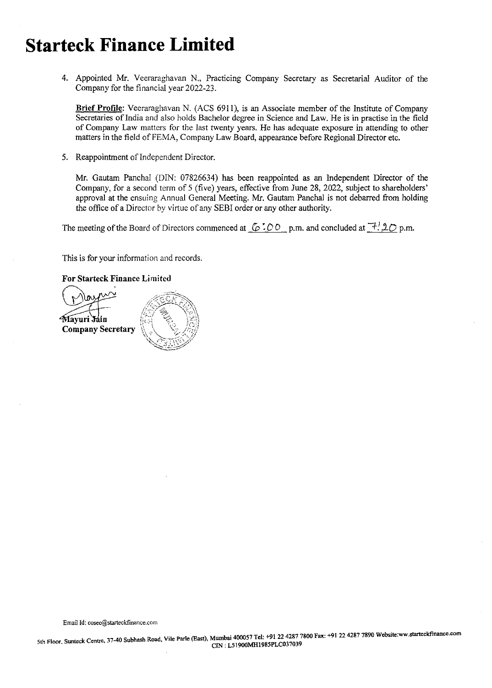# **Starteck Finance Limited**

4. Appointed Mr. Veeraraghavan N., Practicing Company Secretary as Secretarial Auditor of the Company for the financial year 2022-23.

**Brief Profile:** Veeraraghavan N. (ACS 6911), is an Associate member of the Institute of Company Secretaries of India and also holds Bachelor degree in Science and Law. He is in practise in the field of Company Law matters for the last twenty years. He has adequate exposure in attending to other matters in the field of FEMA, Company Law Board, appearance before Regional Director etc.

5. Reappointment of Independent Director.

Mr. Gautam Panchal (DIN: 07826634) has been reappointed as an Independent Director of the Company, for a second term of 5 (five) years, effective from June 28, 2022, subject to shareholders' approval at the ensuing Annual General Meeting. Mr. Gautam Panchal is not debarred from holding the office of a Director by virtue of any SEBI order or any other authority.

The meeting of the Board of Directors commenced at  $\mathcal{L}$ .  $\mathcal{O}O$  p.m. and concluded at  $\mathcal{L}^{1,2}\mathcal{O}$  p.m.

This is for your information and records.

# **For Starteck Finance Limited**

**Company Secretary Company Secretary** 

**Email Id: cosec@starteckfinance.com**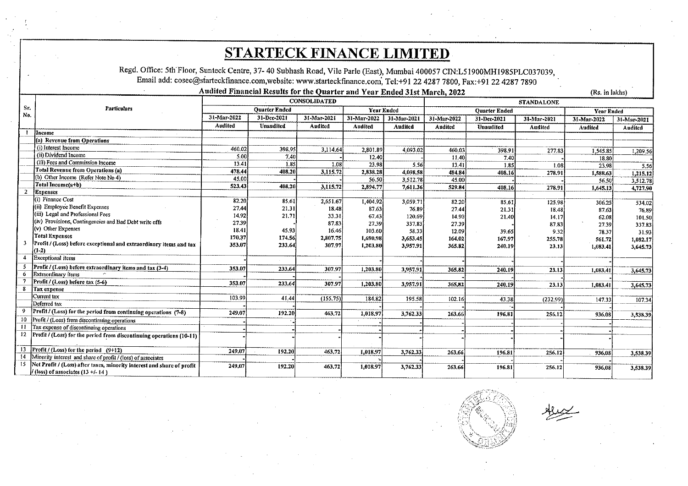Regd. Office: 5th Floor, Sunteck Centre, 37-40 Subhash Road, Vile Parle (East), Mumbai 400057 CIN:L51900MHl985PLC037039, Email add: cosec@starteckfinance.com,website: www.starteckfinance.com, Tel:+91 22 4287 7800, Fax:+91 22 4287 7890

Audited Financial Results for the Quarter and Year Ended 31st March, 2022 **(Rs. in lakhs)** (Rs. in lakhs)

|                |                                                                         | <b>CONSOLIDATED</b> |                      |             |                   | <b>STANDALONE</b> |                      |                  |             |                   |             |
|----------------|-------------------------------------------------------------------------|---------------------|----------------------|-------------|-------------------|-------------------|----------------------|------------------|-------------|-------------------|-------------|
| Sr.            | Particulars                                                             |                     | <b>Ouarter Ended</b> |             | <b>Year Ended</b> |                   | <b>Quarter Ended</b> |                  |             | <b>Year Ended</b> |             |
| No.            |                                                                         | 31-Mar-2022         | 31-Dec-2021          | 31-Mar-2021 | 31-Mar 2022       | 31-Mar-2021       | 31-Mar-2022          | 31-Dec-2021      | 31-Mar-2021 | 31-Mar 2022       | 31-Mai-2021 |
|                |                                                                         | Audited             | <b>Unaudited</b>     | Audited     | <b>Audited</b>    | Audited           | Audited              | <b>Unaudited</b> | Audited     | <b>Audited</b>    | Audited     |
|                | lIncome                                                                 |                     |                      |             |                   |                   |                      |                  |             |                   |             |
|                | (a) Revenue from Operations                                             |                     |                      |             |                   |                   |                      |                  |             |                   |             |
|                | (i) Interest Income                                                     | 460.02              | 398.95               | 3,114,64    | 2,801.89          | 4,093.02          | 460.03               | 398.91           | 277.83      | 1,545.85          | 1,209.56    |
|                | (ii) Dividend Income                                                    | 5.00                | 7.40                 |             | 12.40             |                   | 11.40                | 7.40             |             | 18.80             |             |
|                | (iii) Fees and Commission Income                                        | 13.41               | 1.85                 | 1.08        | 23.98             | 5.56              | 13.41                | 1.85             | 1.08        | 23.98             | 5.56        |
|                | Total Revenue from Operations (a)                                       | 478.44              | 408.20               | 3,115.72    | 2,838.28          | 4,098.58          | 484.84               | 408.16           | 278.91      | 1,538.63          | 1,215.12    |
|                | $(b)$ Other Income (Refer Note No 4)                                    | 45.00               |                      |             | 56.50             | 3,512.78          | 45.00                |                  |             | 56.50             | 3,512.78    |
|                | Total Income(a+b)                                                       | 523.43              | 408.20               | 3,115.72    | 2,894.77          | 7,611.36          | 529.84               | 408.16           | 278.91      | 1,645.13          | 4,727.90    |
|                | Expenses                                                                |                     |                      |             |                   |                   |                      |                  |             |                   |             |
|                | (i) Finance Cost                                                        | 82 20               | 85.61                | 2,651.67    | 1,404.92          | 3,059.71          | 82.20                | 85.61            | 125.98      | 306.25            | 534.02      |
|                | (ii) Employee Benefit Expenses                                          | 27.44               | 21.31                | 18,48       | 87.63             | 76.89             | 27.44                | 21.31            | 18.48       | 87.63             | 76.89       |
|                | (iii) Legal and Professional Fees                                       | 14.92               | 21.71                | 33.31       | 67.43             | 120,69            | 14.90                | 21.40            | 14.17       | 62.08             | 101.50      |
|                | (iv) Provisions, Contingencies and Bad Debt write offs                  | 2739                |                      | 87.83       | 27.39             | 337.83            | 27.39                |                  | 87.83       | 27.39             | 337.83      |
|                | (v) Other Expenses                                                      | 1841                | 45.93                | 16.46       | 103.60            | 58,33             | 12.09                | 39.65            | 9.32        | 78.37             | 31.93       |
|                | Total Expenses                                                          | 170.37              | 174.56               | 2,807.75    | 1,690.98          | 3,653.45          | 164.02               | 167,97           | 255.78      | 561.72            | 1,082.17    |
|                | Profit / (Loss) before exceptional and extraordinary items and tax      | 353.07              | 233.64               | 307.97      | 1,203,80          | 3,957.91          | 365.82               | 240.19           | 23.13       | 1,083.41          | 3,645.73    |
|                | $(1-2)$                                                                 |                     |                      |             |                   |                   |                      |                  |             |                   |             |
|                | Exceptional items                                                       |                     |                      |             |                   |                   |                      |                  |             |                   |             |
|                | Profit / (Loss) before extraordinary items and tax (3-4)                | 353.07              | 233.64               | 307,97      | 1,203.80          | 3,957.91          | 365,82               | 240.19           | 23.13       | 1,083.41          | 3,645.73    |
|                | Extraordinary items                                                     |                     |                      |             |                   |                   |                      |                  |             |                   |             |
| -7             | Profit / (Loss) before tax (5-6)                                        | 353.07              | 233,64               | 307.97      | 1,203.80          | 3,957.91          | 365.82               | 240.19           | 23.13       | 1,083.41          | 3,645.73    |
| - 8            | Tax expense                                                             |                     |                      |             |                   |                   |                      |                  |             |                   |             |
|                | Current tax                                                             | 103.99              | 41.44                | (155, 75)   | 184.82            | 195.58            | 102.16               | 43.38            | (232.99)    | 147.33            | 107,34      |
|                | Deferred tax                                                            |                     |                      |             |                   |                   |                      |                  |             |                   |             |
| $\overline{9}$ | Profit / (Loss) for the period from continuing operations (7-8)         | 249.07              | 192.20               | 463.72      | 1,018.97          | 3,762,33          | 263.66               | 196.81           | 256.12      | 936.08            | 3,538.39    |
| 10             | Profit / (Loss) from discontinuing operations                           |                     |                      |             |                   |                   |                      |                  |             |                   |             |
| -11            | Tax expense of discontinuing operations                                 |                     |                      |             |                   |                   |                      |                  |             |                   |             |
|                | 12 Prefit / (Loss) for the period from discontinuing operations (10-11) |                     |                      |             |                   |                   |                      |                  |             |                   |             |
|                |                                                                         |                     |                      |             |                   |                   |                      |                  |             |                   |             |
| 13             | Profit / (Loss) for the period (9+12)                                   | 249,07              | 192.20               | 463.72      | 1,018.97          | 3,762.33          | 263.66               | 196.81           | 256.12      | 936.08            | 3,538.39    |
| -14            | Minority interest and share of profit / (loss) of associates            |                     |                      |             |                   |                   |                      |                  |             |                   |             |
| 15             | Net Profit / (Loss) after taxes, minority interest and share of profit  | 249,07              | 192.20               | 463.72      | 1,018.97          | 3,762.33          | 263.66               | 196.81           | 256.12      | 936.08            | 3,538.39    |
|                | $/(loss)$ of associates $(13 + (-14))$                                  |                     |                      |             |                   |                   |                      |                  |             |                   |             |

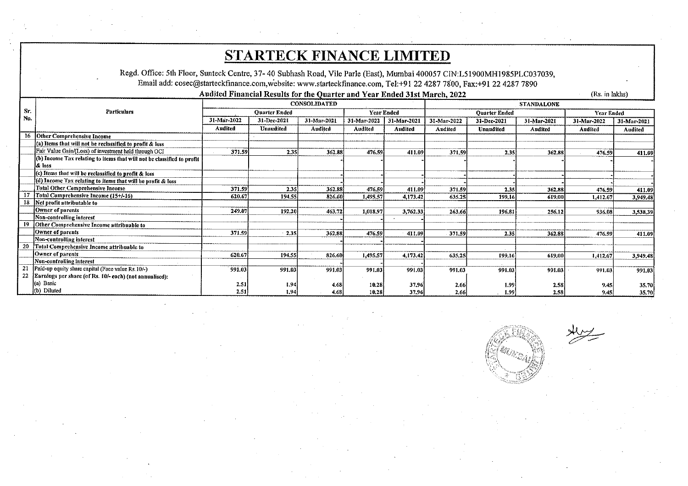Regd. Office: 5th Floor, Sunteck Centre, 37-40 Subhash Road, Vile Parle (East), Mumbai 400057 CIN:L51900MH1985PLC037039, Email add: cosec@starteckfinance.com,website: www.starteckfinance.com, Tel:+91 22 4287 7800, Fax:+91 22 4287 7890

Audited Financial Results for the Quarter and Year Ended 31st March, 2022 **(Rs. in lakhs)** (Rs. in lakhs)

|     |                                                                        | <b>CONSOLIDATED</b> |                      |             |             | <b>STANDALONE</b> |                      |             |             |             |                   |  |
|-----|------------------------------------------------------------------------|---------------------|----------------------|-------------|-------------|-------------------|----------------------|-------------|-------------|-------------|-------------------|--|
| Sr. | <b>Particulars</b>                                                     |                     | <b>Ouarter Ended</b> |             | Year Ended  |                   | <b>Ouarter Ended</b> |             |             |             | <b>Year Ended</b> |  |
| No. |                                                                        | 31-Mar-2022         | 31-Dec-2021          | 31-Mar-2021 | 31-Mar-2022 | 31-Mar-2021       | 31-Mar-2022          | 31-Dec-2021 | 31-Mar-2021 | 31-Mar-2022 | 31-Mar-2021       |  |
|     |                                                                        | Audited             | <b>Unaudited</b>     | Audited     | Audited     | Audited           | Audited              | Unaudited   | Audited     | Audited     | Audited           |  |
| -16 | Other Comprehensive Income                                             |                     |                      |             |             |                   |                      |             |             |             |                   |  |
|     | (a) Items that will not be reclassified to profit & loss               |                     |                      |             |             |                   |                      |             |             |             |                   |  |
|     | Fair Value Gain/(Loss) of investment held through OCI                  | 371.59              | 2.35                 | 362.88      | 476.59      | 411.09            | 371.59               | 2.35        | 362,88      | 476.59      | 411.09            |  |
|     | (b) Income Tax relating to items that will not be classified to profit |                     |                      |             |             |                   |                      |             |             |             |                   |  |
|     | l& Ioss                                                                |                     |                      |             |             |                   |                      |             |             |             |                   |  |
|     | (c) Items that will be reclassified to profit & loss                   |                     |                      |             |             |                   |                      |             |             |             |                   |  |
|     | (d) Income Tax relating to items that will be profit & loss            |                     |                      |             |             |                   |                      |             |             |             |                   |  |
|     | <b>Total Other Comprehensive Income</b>                                | 371.59              | 2.35                 | 362.88      | 476.59      | 411.09            | 371.59               | 2.35        | 362,88      | 476.59      | 411.09            |  |
|     | Total Comprehensive Income (15+/-16)                                   | 620.67              | 194.55               | 826.60      | 1,495.57    | 4,173.42          | 635.25               | 199.16      | 619,00      | 1,412.67    | 3.949.48          |  |
| 18  | Net profit attributable to                                             |                     |                      |             |             |                   |                      |             |             |             |                   |  |
|     | Owner of parents                                                       | 249.07              | 192.20               | 463.72      | 1,018,97    | 3,762.33          | 263.66               | 196.81      | 256.12      | 936.08      | 3,538.39          |  |
|     | Non-controlling interest                                               |                     |                      |             |             |                   |                      |             |             |             |                   |  |
| 19  | Other Comprehensive Income attribuable to                              |                     |                      |             |             |                   |                      |             |             |             |                   |  |
|     | Owner of parents                                                       | 371.59              | $-2.35$              | 362.88      | 476.59      | 411.09            | 371.59               | 2.35        | 362.88      | 476.59      | 411.09            |  |
|     | Non-controlling interest                                               |                     |                      |             |             |                   |                      |             |             |             |                   |  |
|     | Total Comprehensive Income attribuable to                              |                     |                      |             |             |                   |                      |             |             |             |                   |  |
|     | Owner of parents                                                       | 620.67              | 194.55               | 826.60      | 1,495.57    | 4,173.42          | 035.25               | 199,16      | 619.00      | 1,412.67    | 3,949.48          |  |
|     | Non-controlling interest                                               |                     |                      |             |             |                   |                      |             |             |             |                   |  |
|     | Paid-up equity share capital (Face value Rs. 10/-)                     | 991.03              | 991.03               | 991.03      | 991.03      | 991.03            | 991.03               | 991.03      | 991.03      | 991.03      | 991.03            |  |
| 22  | Earnings per share (of Rs. 10/-each) (not annualised):                 |                     |                      |             |             |                   |                      |             |             |             |                   |  |
|     | (a) Basic                                                              | 2.51                | 1,94                 | 4.68        | 10.28       | 37.96             | 2.66                 | 1.99        | 2,58        | 9.45        | 35.70             |  |
|     | (b) Diluted                                                            | 2.51                | 1.94                 | 4.68        | 10.28       | 37.96             | 2.66                 | 1.99        | 2.58        | 9.45        | 35.70             |  |

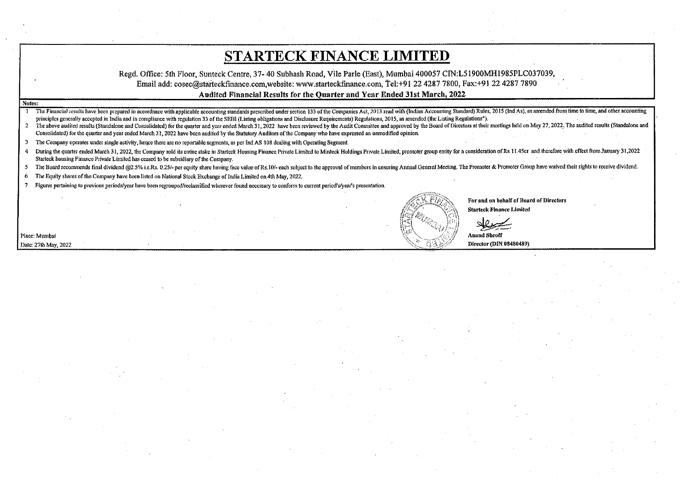Regd. Office: 5th Floor, Sunteck Centre, 37-40 Subhash Road, Vile Parle (East), Mumbai 400057 CIN:L51900MHl985PLC037039, Email add:cosec@staiteckfinance.com,website:www.starteckfinance.com, tel:+91224287 7800, Fax:+91224287 7890

#### **Audited Financial Results for the Quarter and Year Ended 31st March, 2022**

Notes:

The Financial results have been prepared in accordnace with applicable accounting standards prescribed under section 133 of the Companies Act, 2013 read with (Indian Accounting Standard) Rules, 2015 (Ind As), as amended fr T principles generally accepted in India and in compliance with regulation 33 of the SEBI (Listing obligations and Disclosure Requirements) Regulations, 2015, as amended (the Listing Regulations").

2 The above audited results (Standalone and Consolidated) for the quarter and year ended March 31, 2022 have been reviewed by the Audit Committee and approved by the Board of Directors at their meetings held on May 27, 202 Consolidated) for the quarter and year ended March 31, 2022 have been audited by the Statutory Auditors of the Company who have expressed an unmodified opinion.

3 The Company operates under single activity, hence there are no reportable segments, as per Ind AS 108 dealing with Operating Segment.

- 4 During the quarter ended March 31, 2022, the Company sold its entire stake in Starteck Housing Finance Private Limited to Minteck Holdings Private Limited, promoter group entity for a consideration of Rs 11.45cr and ther Slarteck housing Finance Private Limited has ceased to be subsidiary of the Company.
- 5 The Board recommends final dividend @2.5% i.e.Rs. 0.25/- per equity share having face value of Rs.10/- each subject to the approval of members in ensuring Annual General Meeting. The Promoter & Promoter Group have waived
- 6 The Equity shares of the Company have beenlisled on NationaJ Stock Exchange of India Limited on 4th May, 2022.
- 7 Figures pertaining to previous periods/year have been regrouped/rcclasSified wherever found necessary to conform to current period's/year's presentation.

For and on behalf of Board of Directors Starteck Finance Limited

Anand Shroff Director (DIN 08480489)

Place: Mumbai

Date: 27th May, 2022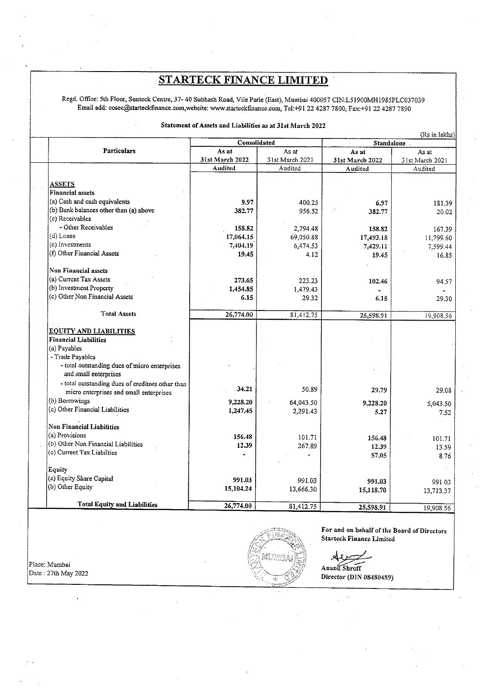Regd. Office: 5th Floor, Sunteck Centre, 37- 40 Subhash Road, Vile Parle (East), Mumbai 400057 CIN:L51900MH1985PLC037039 Email add: cosec@starteckfinance.com,website: www.starteckfinance.com, Tel:+91 22 4287 7800, Fax:+91 22 4287 7890

### Statement of Assets and Liabilities as at 31st March 2022

| (Rs in lakhs)                                    |                 |                  |                   |                  |  |  |  |  |
|--------------------------------------------------|-----------------|------------------|-------------------|------------------|--|--|--|--|
|                                                  | Consolidated    |                  | <b>Standalone</b> |                  |  |  |  |  |
| <b>Particulars</b>                               | As at           | As at            | As at             | As at            |  |  |  |  |
|                                                  | 31st March 2022 | 31st March 2021  | 31st March 2022   | 3 Ist March 2021 |  |  |  |  |
|                                                  | Audited         | Audited          | Audited           | Audited          |  |  |  |  |
| <b>ASSETS</b>                                    |                 |                  |                   |                  |  |  |  |  |
| <b>Financial assets</b>                          |                 |                  |                   |                  |  |  |  |  |
| (a) Cash and cash equivalents                    | 9.97            |                  |                   |                  |  |  |  |  |
| (b) Bank balances other than (a) above           | 382.77          | 400.25<br>956.52 | 6.97              | 181.39           |  |  |  |  |
| (c) Receivables                                  |                 |                  | 382.77            | 20.02            |  |  |  |  |
| - Other Receivables                              | 158.82          | 2,794.48         |                   |                  |  |  |  |  |
| (d) Loans                                        | 17,064.15       | 69,050.88        | 158.82            | 167.39           |  |  |  |  |
| (e) Investments                                  | 7,404.19        | 6,474.53         | 17,493.18         | 11,799.60        |  |  |  |  |
| (f) Other Financial Assets                       | 19.45           | 4.12             | 7,429.11          | 7,599.44         |  |  |  |  |
|                                                  |                 |                  | 19.45             | 16.85            |  |  |  |  |
| Non Financial assets                             |                 |                  |                   |                  |  |  |  |  |
| (a) Current Tax Assets                           | 273.65          | 223.23           | 102.46            |                  |  |  |  |  |
| (b) Investment Property                          | 1,454.85        | 1,479.43         |                   | 94.57            |  |  |  |  |
| (c) Other Non Financial Assets                   | 6.15            | 29.32            | 6.15              |                  |  |  |  |  |
|                                                  |                 |                  |                   | 29.30            |  |  |  |  |
| <b>Total Assets</b>                              | 26,774.00       | 81,412.75        | 25,598.91         | 19,908.56        |  |  |  |  |
| <b>EQUITY AND LIABILITIES</b>                    |                 |                  |                   |                  |  |  |  |  |
| <b>Financial Liabilities</b>                     |                 |                  |                   |                  |  |  |  |  |
| (a) Payables                                     |                 |                  |                   |                  |  |  |  |  |
| - Trade Payables                                 |                 |                  |                   |                  |  |  |  |  |
| - total outstanding dues of micro enterprises    |                 |                  |                   |                  |  |  |  |  |
| and small enterprises                            |                 |                  |                   |                  |  |  |  |  |
| - total outstanding dues of creditors other than |                 |                  |                   |                  |  |  |  |  |
| micro enterprises and small enterprises          | 34.21           | 50.89            | 29.79             | 29.08            |  |  |  |  |
| (b) Borrowings                                   | 9,228.20        | 64,043.50        | 9,228.20          |                  |  |  |  |  |
| (c) Other Financial Liabilities                  | 1,247.45        | 2,291.43         | 5.27              | 5,043.50         |  |  |  |  |
|                                                  |                 |                  |                   | 7.52             |  |  |  |  |
| Non Financial Liabilities                        |                 |                  |                   |                  |  |  |  |  |
| (a) Provisions                                   | 156.48          | 101.71           | 156.48            | 101.71           |  |  |  |  |
| (b) Other Non Financial Liabilities              | 12.39           | 267.89           | 12.39             | 13.59            |  |  |  |  |
| (c) Current Tax Liabilties                       |                 |                  | 57.05             | 8.76             |  |  |  |  |
|                                                  |                 |                  |                   |                  |  |  |  |  |
| Equity                                           |                 |                  |                   |                  |  |  |  |  |
| (a) Equity Share Capital                         | 991.03          | 991.03           | 991.03            | 991.03           |  |  |  |  |
| (b) Other Equity                                 | 15,104.24       | 13,666.30        | 15,118.70         | 13,713.37        |  |  |  |  |
|                                                  |                 |                  |                   |                  |  |  |  |  |
| <b>Total Equity and Liabilities</b>              | 26,774.00       | 81,412.75        | 25,598.91         | 19,908.56        |  |  |  |  |



For and on behalf of the Board of Directors Starteck Finance Limited

 $\bar{z}$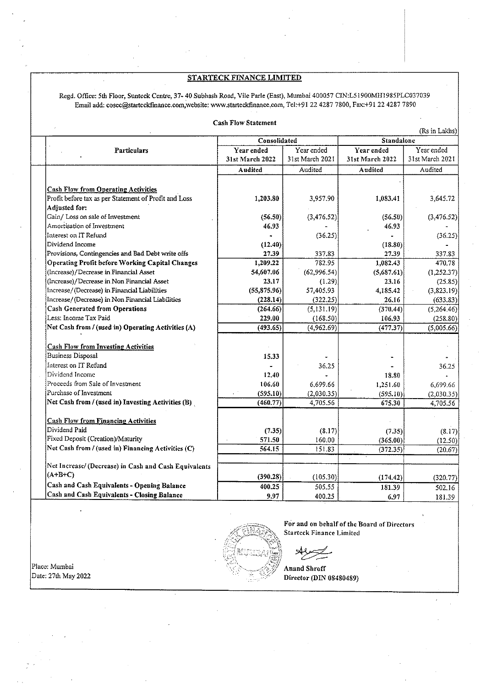Regd. Office: 5th Floor, Sunteck Centre, 37- 40 Subhash Road, Vile Parle (East), Mumbai 400057 CIN:L5 ! 900MH1985PLC037039 Email add: cosec@starteckfinance.com,website: www.starteckfinance.com, Tel:+91 22 4287 7800, Fax:+91 22 4287 7890

| (Rs in Lakhs)                                                          |                 |                 |                 |                 |  |  |  |
|------------------------------------------------------------------------|-----------------|-----------------|-----------------|-----------------|--|--|--|
|                                                                        | Consolidated    | Standalone      |                 |                 |  |  |  |
| Particulars                                                            | Year ended      | Year ended      | Year ended      | Year ended      |  |  |  |
|                                                                        | 31st March 2022 | 31st March 2021 | 31st March 2022 | 31st March 2021 |  |  |  |
|                                                                        | Audited         | Audited         | Audited         | Audited         |  |  |  |
|                                                                        |                 |                 |                 |                 |  |  |  |
| <b>Cash Flow from Operating Activities</b>                             |                 |                 |                 |                 |  |  |  |
| Profit before tax as per Statement of Profit and Loss                  | 1,203.80        | 3,957.90        | 1,083.41        | 3,645.72        |  |  |  |
| Adjusted for:                                                          |                 |                 |                 |                 |  |  |  |
| Gain/Loss on sale of Investment                                        | (56.50)         | (3, 476.52)     | (56.50)         | (3, 476.52)     |  |  |  |
| Amortisation of Investment                                             | 46.93           |                 | 46.93           |                 |  |  |  |
| Interest on IT Refund                                                  |                 | (36.25)         |                 | (36.25)         |  |  |  |
| Dividend Income                                                        | (12.40)         |                 | (18.80)         |                 |  |  |  |
| Provisions, Contingencies and Bad Debt write offs                      | 27.39           | 337.83          | 27.39           | 337.83          |  |  |  |
| <b>Operating Profit before Working Capital Changes</b>                 | 1,209.22        | 782.95          | 1,082.43        | 470.78          |  |  |  |
| (Increase)/Decrease in Financial Asset                                 | 54,607.06       | (62,996.54)     | (5,687.61)      | (1, 252.37)     |  |  |  |
| (Increase)/Decrease in Non Financial Asset                             | 23.17           | (1.29)          | 23.16           | (25.85)         |  |  |  |
| Increase/(Decrease) in Financial Liabilities                           | (55, 875.96)    | 57,405.93       | 4,185.42        | (3,823.19)      |  |  |  |
| Increase/(Decrease) in Non Financial Liabilities                       | (228.14)        | (322.25)        | 26.16           | (633.83)        |  |  |  |
| <b>Cash Generated from Operations</b>                                  | (264.66)        | (5,131.19)      | (370.44)        | (5,264.46)      |  |  |  |
| Less: Income Tax Paid                                                  | 229.00          | (168.50)        | 106.93          | (258.80)        |  |  |  |
| Net Cash from / (used in) Operating Activities (A)                     | (493.65)        | (4,962.69)      | (477.37)        | (5,005.66)      |  |  |  |
|                                                                        |                 |                 |                 |                 |  |  |  |
| <b>Cash Flow from Investing Activities</b><br><b>Business Disposal</b> |                 |                 |                 |                 |  |  |  |
| Interest on IT Refund                                                  | 15.33           |                 |                 |                 |  |  |  |
|                                                                        |                 | 36.25           |                 | 36.25           |  |  |  |
| Dividend Income                                                        | 12.40           |                 | 18.80           |                 |  |  |  |
| Proceeds from Sale of Investment                                       | 106.60          | 6.699.66        | 1,251.60        | 6,699.66        |  |  |  |
| Purchase of Investment                                                 | (595.10)        | (2,030.35)      | (595.10)        | (2,030.35)      |  |  |  |
| Net Cash from / (used in) Investing Activities (B)                     | (460.77)        | 4,705.56        | 675.30          | 4,705.56        |  |  |  |
| <b>Cash Flow from Financing Activities</b>                             |                 |                 |                 |                 |  |  |  |
| Dividend Paid                                                          | (7.35)          | (8.17)          | (7.35)          | (8.17)          |  |  |  |
| Fixed Deposit (Creation)/Maturity                                      | 571.50          | 160.00          | (365.00)        | (12.50)         |  |  |  |
| Net Cash from / (used in) Financing Activities (C)                     | 564.15          | 151.83          | (372.35)        | (20.67)         |  |  |  |
|                                                                        |                 |                 |                 |                 |  |  |  |
| Net Increase/ (Decrease) in Cash and Cash Equivalents                  |                 |                 |                 |                 |  |  |  |
| $(A+B+C)$                                                              | (390.28)        | (105.30)        | (174.42)        | (320.77)        |  |  |  |
| Cash and Cash Equivalents - Opening Balance                            | 400.25          | 505.55          | 181.39          | 502.16          |  |  |  |
| Cash and Cash Equivalents - Closing Balance                            | 9.97            | 400.25          | 6.97            | 181.39          |  |  |  |

*'i,.,,* 

Cash Flow Statement

For and on behalf of the Board of Directors

Starteck Finance Limited<br>  $\overbrace{\phantom{a}}^{St}$  Alexand Shroff ""::::4] **Anand Shroff** 

Date: 27th May 2022  $\qquad \qquad$  Director (DIN 08480489)

Place: Mumbai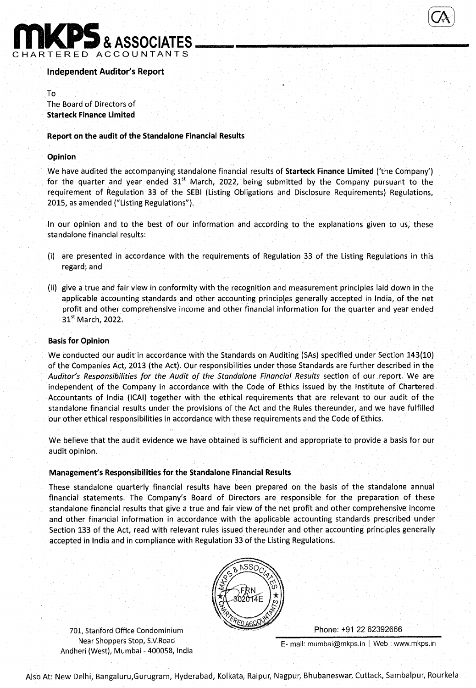



# **Independent Auditor's Report**

# To The Board of Directors of **Starteck Finance Limited**

# **Report on the audit of the Standalone Financial Results**

### **Opinion**

We have audited the accompanying standalone financial results of **Starteck Finance Limited** ('the Company') for the quarter and year ended  $31<sup>st</sup>$  March, 2022, being submitted by the Company pursuant to the requirement of Regulation 33 of the SEBI (Listing Obligations and Disclosure Requirements) Regulations, 2015, as amended ("Listing Regulations").

In our opinion and to the best of our information and according to the explanations given to us, these standalone financial results:

- (i) are presented in accordance with the requirements of Regulation 33 of the listing Regulations in this regard; and
- (ii) give a true and fair view in conformity with the recognition and measurement principles laid down in the applicable accounting standards and other accounting principles generally accepted in India, of the net profit and other comprehensive income and other financial information for the quarter and year ended 31<sup>st</sup> March, 2022.

### **Basis for Opinion**

We conducted our audit in accordance with the Standards on Auditing (SAs) specified under Section 143(10) of the Companies Act, 2013 (the Act). Our responsibilities under those Standards are further described in the Auditor's Responsibilities for the Audit of the Standalone Financial Results section of our. report. We are independent of the Company in accordance with the Code of Ethics issued by the Institute of Chartered. Accountants of India (ICAI) together with the ethical requirements that are relevant to our audit of the standalone financial results under the provisions of the Act and the Rules thereunder, and we have fulfilled our other ethical responsibilities in accordance with these requirements and the Code of Ethics.

We believe that the audit evidence we have obtained is sufficient and appropriate to provide a basis for our audit opinion.

#### **Management's Responsibilities for the Standalone Financial Results**

These standalone quarterly financial results have been prepared on the basis of the standalone annual financial statements. The Company's Board of Directors are responsible for the preparation of these standalone financial results that give a true and fair view of the net profit and other comprehensive income and other financial information in accordance with the applicable accounting standards prescribed under Section 133 of the Act, read with relevant rules issued thereunder and other accounting principles generally accepted in India and in compliance with Regulation 33 of the Listing Regulations.



701, Stanford Office Condominium Near Shoppers Stop, S.V.Road Andheri (West), Mumbai - 400058, India Phone: +91 22 62392666

E- mail: mumbai@mkps.in | Web : www.mkps.in

Also At: New Delhi, Bangaluru,Gurugram, Hyderabad, Kolkata, Raipur, Nagpur, Bhubaneswar, Cuttack, Sambalpur, Rourkela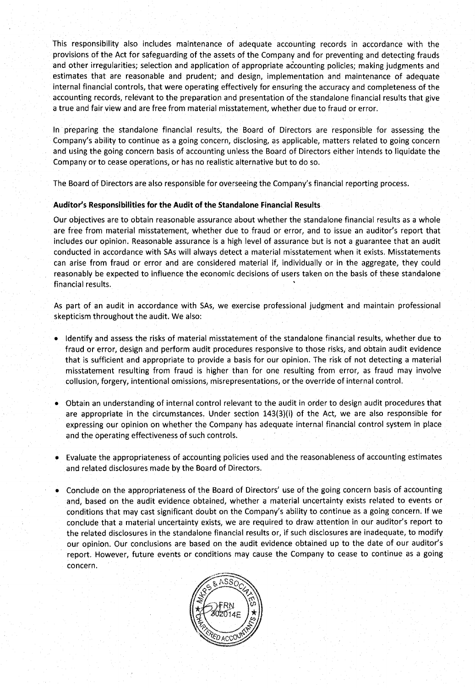This responsibility also includes maintenance of adequate accounting records in accordance with the provisions of the Act for safeguarding of the assets of the Company and for preventing and detecting frauds and other irregularities; selection and application of appropriate accounting policies; making judgments and estimates that are reasonable and prudent; and design, implementation and maintenance of adequate internal financial controls, that were operating effectively for ensuring the accuracy and completeness of the accounting records, relevant to the preparation and presentation of the standalone financial results that give a true and fair view and are free from material misstatement, whether due to fraud or error.

In· preparing the standalone financial results, the Board of Directors are responsible for assessing the Company's ability to continue as a going concern, disclosing, as applicable, matters related to going concern and using the going concern basis of accounting unless the Board of Directors either intends to liquidate the Company or to cease operations, or has no realistic alternative but to do so.

The Board of Directors are also responsible for overseeing the Company's financial reporting process.

# **Auditor's Responsibilities for the Audit of the Standalone Financial Results**

Our objectives are to obtain reasonable assurance about whether the standalone financial results as a whole are free from material misstatement, whether due to fraud or error, and to issue an auditor's report that includes our opinion. Reasonable assurance is a high level of assurance but is not a guarantee that an audit conducted in accordance with SAs will always detect a material misstatement when it exists. Misstatements can arise from fraud or error and are considered material if, individually or in the aggregate, they could reasonably be expected to influence the economic decisions of users taken on the basis of these standalone financial results.

As part of an audit in accordance with SAs, we exercise professional judgment and maintain professional skepticism throughout the audit. We also:

- Identify and assess the risks of material misstatement of the standalone financial results, whether due to fraud or error, design and perform audit procedures responsive to those risks, and obtain audit evidence that is sufficient and appropriate to provide a basis for our opinion. The risk of not detecting a material misstatement resulting from fraud is higher than for one resulting from error, as fraud may involve collusion, forgery, intentional omissions, misrepresentations, or the override of internal control.
- Obtain an understanding of internal control relevant to the audit in order to design audit procedures that are appropriate in the circumstances. Under section 143(3}(i) of the Act, we are also responsible for expressing our opinion on whether the Company has adequate internal financial control system in place and the operating effectiveness of such controls.
- Evaluate the appropriateness of accounting policies used and the reasonableness of accounting estimates and related disclosures made by the Board of Directors.
- Conclude on the appropriateness of the Board of Directors' use of the going concern basis of accounting and, based on the audit evidence obtained, whether a material uncertainty exists related to events or conditions that may cast significant doubt on the Company's ability to continue as a going concern. If we conclude that a material uncertainty exists, we are required to draw attention in our auditor's report to the related disclosures in the standalone financial results or, if such disclosures are inadequate, to modify our opinion. Our conclusions are based on the audit evidence obtained up to the date of our auditor's report. However, future events or conditions may cause the Company to cease to continue as a going concern.

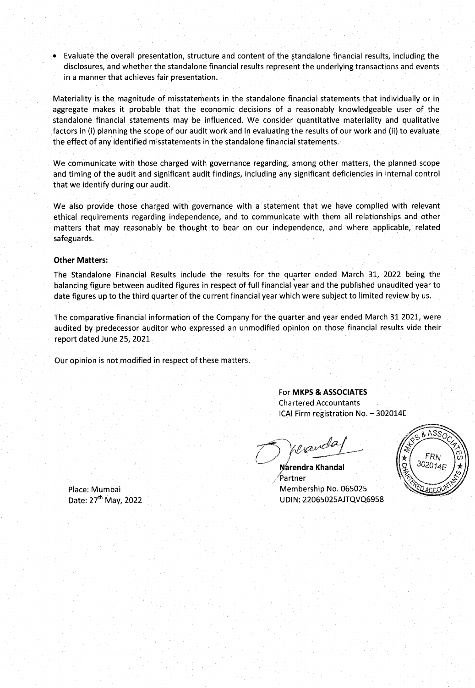Evaluate the overall presentation, structure and content of the standalone financial results, including the disclosures, and whether the standalone financial results represent the underlying transactions and events in a manner that achieves fair presentation.

Materiality is the magnitude of misstatements in the standalone financial statements that individually or in aggregate makes it probable that the economic decisions of a reasonably knowledgeable user of the standalone financial statements may be influenced. We consider quantitative materiality and qualitative factors in (i) planning the scope of our audit work and in evaluating the results of our work and (ii) to evaluate the effect of any identified misstatements in the standalone financial statements.

We communicate with those charged with governance regarding, among other matters, the planned scope and timing of the audit and significant audit findings, including any significant deficiencies in internal control that we identify during our audit.

We also provide those charged with governance with a statement that we have complied with relevant ethical requirements regarding independence, and to communicate with them all relationships and other matters that may reasonably be thought to bear on our independence, and where applicable, related safeguards.

### **Other Matters:**

The Standalone Financial Results include the results for the quarter ended March 31, 2022 being the balancing figure between audited figures in respect of full financial year and the published unaudited year to date figures up to the third quarter of the current financial year which were subject to limited review by us.

The comparative financial information of the Company for the quarter and year ended March 31 2021, were audited by predecessor auditor who expressed an unmodified opinion on those financial results vide their report dated June 25, 2021

Our opinion is not modified in respect of these matters.

For **MKPS & ASSOCIATES**  Chartered Accountants ICAI Firm registration No. - 302014E

*{)Y.u,~~* 

**~'rendra Khandal**  /Partner / Membership No. 065025 UDIN: 22065025AJTQVQ6958



Place: Mumbai Date: 27<sup>th</sup> May, 2022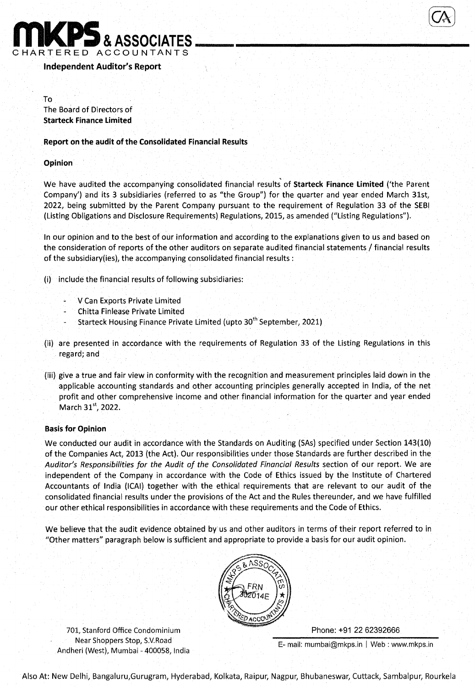



**Independent Auditor's Report** 

To The Board of Directors of **Starteck Finance Limited** 

## **Report on the audit of the Consolidated Financial Results**

**Opinion** 

" We have audited the accompanying consolidated financial results of **Starteck Finance Limited** ('the Parent Company') and its 3 subsidiaries (referred to as "the Group") for the quarter and year ended March 31st, 2022, being submitted by the Parent Company pursuant to the requirement of Regulation 33 of the SEBI. (Listing Obligations and Disclosure Requirements) Regulations, 2015, as amended ("Listing Regulations").

In our opinion and to the best of our information and according to the explanations given to us and based on the consideration of reports of the other auditors on separate audited financial statements/ financial results of the subsidiary(ies), the accompanying consolidated financial results :

(i) include the financial results of following subsidiaries:

- V Can Exports Private Limited
- Chitta Finlease Private Limited
- Starteck Housing Finance Private Limited (upto 30<sup>th</sup> September, 2021)
- (ii) are presented in accordance with the requirements of Regulation 33 of the Listing Regulations in this regard; and
- (iii) give a true and fair view in conformity with the recognition and measurement principles laid down in the applicable accounting standards and other accounting principles generally accepted in India, of the net profit and other comprehensive income and other financial information for the quarter and year ended March 31st, 2022.

# **Basis for Opinion**

We conducted our audit in accordance with the Standards on Auditing (SAs) specified under Section 143(10) of the Companies Act, 2013 (the Act). Our responsibilities under those Standards are further described in the *Auditor's Responsibilities for the Audit of the Consolidated Financial Results* section of our report. We are independent of the Company in accordance with the Code of Ethics issued by the Institute of Chartered Accountants of India (ICAI) together with the ethical requirements that are relevant to our audit of the consolidated financial results under the provisions of the Act and the Rules thereunder, and we have fulfilled our other ethical responsibilities in accordance with these requirements and the Code of Ethics.

We believe that the audit evidence obtained by us and other auditors in terms of their report referred to in "Other matters" paragraph below is sufficient and appropriate to provide a basis for our audit opinion.



Phone: +91 22 62392666

E- mail: mumbai@mkps.in I Web : www.mkps.in

701, Stanford Office Condominium Near Shoppers Stop, S.V.Road Andheri (West), Mumbai - 400058, India

Also At: New Delhi, Bangaluru,Gurugram, Hyderabad, Kolkata, Raipur, Nagpur, Bhubaneswar, Cuttack, Sambalpur, Rourkela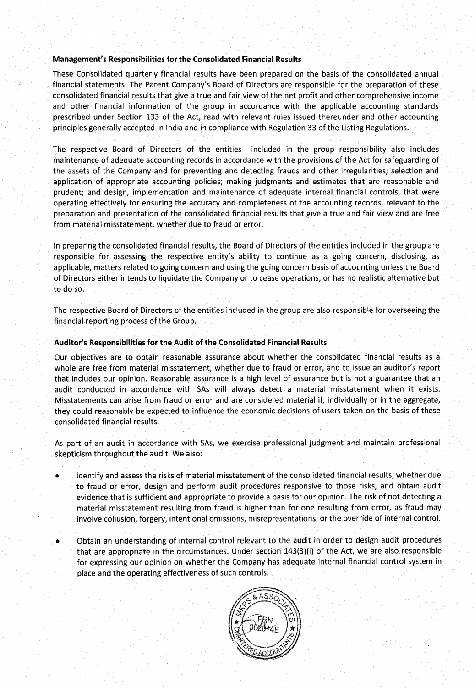# **Management's Responsibilities for the Consolidated Financial Results**

These Consolidated quarterly financial results have been prepared on the basis of the consolidated annual financial statements. The Parent Company's Board of Directors are responsible for the preparation of these consolidated financial results that give a true and fair view of the net profit and other comprehensive income and other financial information of the group in accordance with the applicable accounting standards prescribed under Section 133 of the Act, read with relevant rules issued thereunder and other accounting principles generally accepted in India and in compliance with Regulation 33 of the Listing Regulations.

The respective Board of Directors of the entities included in the group responsibility also includes maintenance of adequate accounting records in accordance with the provisions of the Act for safeguarding of the assets of the Company and for preventing and detecting frauds and other irregularities; selection and application of appropriate accounting policies; making judgments and estimates that are reasonable and prudent; and design, implementation and maintenance of adequate internal financial controls, that were operating effectively for ensuring the accuracy and completeness of the accounting records, relevant to the preparation and presentation of the consolidated financial results that give a true and fair view and are free from material misstatement, whether due to fraud or error.

In preparing the consolidated financial results, the Board of Directors of the entities included in the group are responsible for assessing the respective entity's ability to continue as a going concern, disclosing, as applicable, matters related to going concern and using the going concern basis of accounting unless the Board of Directors either intends to liquidate the Company or to cease operations, or has no realistic alternative but to do so.

The respective Board of Directors of the entities included in the group are also responsible for overseeing the financial reporting process of the Group.

# **Auditor's Responsibilities for the Audit of the Consolidated Financial Results**

Our objectives are to obtain reasonable assurance about whether the consolidated financial results as a whole are free from material misstatement, whether due to fraud or error, and to. issue an auditor's report that includes our opinion. Reasonable assurance is a high level of assurance but is not a guarantee that an audit conducted in accordance with SAs will always detect a material misstatement when it exists. Misstatements can arise from fraud or error and are considered material if, individually or in the aggregate, they could reasonably be expected to influence the economic decisions of users taken on the basis of these consolidated financial results.

As part of an audit in accordance with SAs, we exercise professional judgment and maintain professional skepticism throughout the audit. We also:

- Identify and assess the risks of material misstatement of the consolidated financial results, whether due to fraud or error, design and perform audit procedures responsive to those risks, and obtain audit evidence that is sufficient and appropriate to provide a basis for our opinion. The risk of not detecting a material misstatement resulting from fraud is higher than for one resulting from error, as fraud may involve collusion, forgery, intentional omissions, misrepresentations, or the override of internal control.
- Obtain an understanding of internal control relevant to the audit in order to design audit procedures that are appropriate in the circumstances. Under section 143(3)(i) of the Act, we are also. responsible for expressing our opinion on whether the Company has adequate internal financial control system in place and the operating effectiveness of such controls.

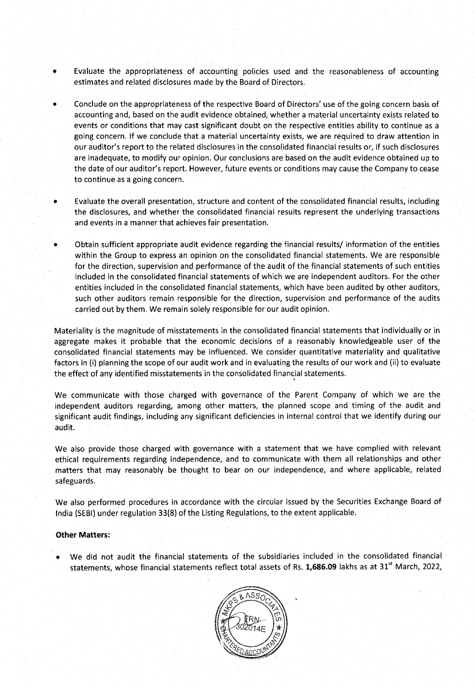- Evaluate the appropriateness of accounting policies used and the reasonableness of accounting estimates and related disclosures made by the Board of Directors.
- Conclude on the appropriateness of the respective Board of Directors' use of the going concern basis of accounting and, based on the audit evidence obtained, whether a material uncertainty exists related to events or conditions that may cast significant doubt on the respective entities ability to continue as a going concern. If we conclude that a material uncertainty exists, we are required to draw attention in our auditor's report to the related disclosures in the consolidated financial results or, if such disclosures are inadequate, to modify our opinion. Our conclusions are based on the audit evidence obtained up to the date of our auditor's report. However, future events or conditions may cause the Company to cease to continue as a going concern.
- Evaluate the overall presentation, structure and content of the consolidated financial results, including the disclosures, and whether the consolidated financial results represent the underlying transactions and events in a manner that achieves fair presentation.
- Obtain sufficient appropriate audit evidence regarding the financial results/ information of the entities within the Group to express an opinion on the consolidated financial statements. We are responsible for the direction, supervision and performance of the audit of the financial statements of such entities included in the consolidated financial statements of which we are independent auditors. For the other entities included in the consolidated financial statements, which have been audited by other auditors, such other auditors remain responsible for the direction, supervision and performance of the audits carried out by them. We remain solely responsible for our audit opinion.

Materiality is the magnitude of misstatements in the consolidated financial statements that individually or in aggregate makes it probable that the economic decisions of a reasonably knowledgeable user of the consolidated financial statements may be influenced. We consider quantitative materiality and qualitative factors in (i) planning the scope of our audit work and in evaluating the results of our work and (ii) to evaluate the effect of any identified misstatements in the consolidated financial statements.

We communicate with those charged with governance of the Parent Company of which we are the independent auditors regarding, among other matters, the planned scope and timing of the audit and significant audit findings, including any significant deficiencies in internal control that we identify during our audit.

We also provide those charged with governance with a statement that we have complied with relevant ethical requirements regarding independence, and to communicate with them all relationships and other matters that may reasonably be thought to bear on our independence, and where applicable, related safeguards.

We also performed procedures in accordance with the circular issued by the Securities Exchange Board of India (SEBI) under regulation 33(8) of the Listing Regulations, to the extent applicable.

### **Other Matters:**

• We did not audit the financial statements of the subsidiaries included in the consolidated financial statements, whose financial statements reflect total assets of Rs. 1,686.09 lakhs as at 31<sup>st</sup> March, 2022,